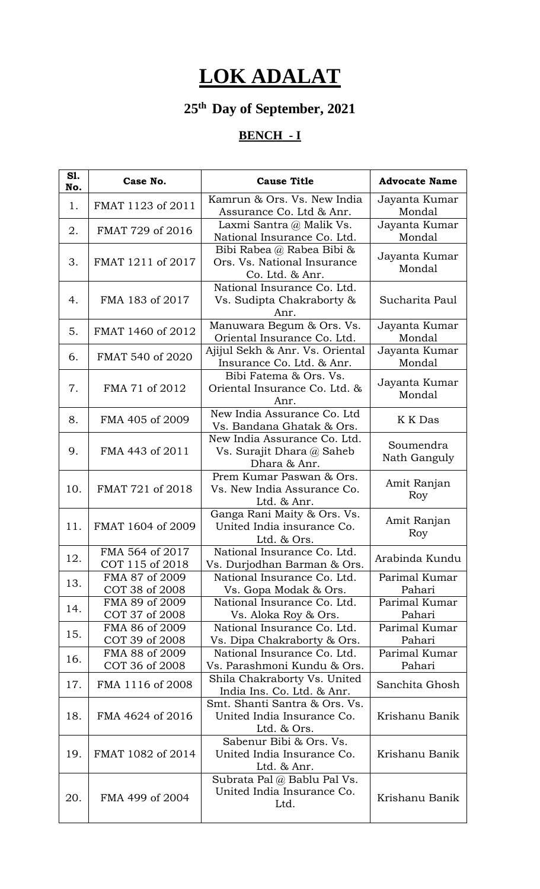## **LOK ADALAT**

## **25th Day of September, 2021**

## **BENCH - I**

| S1.<br>No. | Case No.                           | <b>Cause Title</b>                                                          | <b>Advocate Name</b>      |
|------------|------------------------------------|-----------------------------------------------------------------------------|---------------------------|
| 1.         | FMAT 1123 of 2011                  | Kamrun & Ors. Vs. New India<br>Assurance Co. Ltd & Anr.                     | Jayanta Kumar<br>Mondal   |
| 2.         | FMAT 729 of 2016                   | Laxmi Santra @ Malik Vs.<br>National Insurance Co. Ltd.                     | Jayanta Kumar<br>Mondal   |
| 3.         | FMAT 1211 of 2017                  | Bibi Rabea @ Rabea Bibi &<br>Ors. Vs. National Insurance<br>Co. Ltd. & Anr. | Jayanta Kumar<br>Mondal   |
| 4.         | FMA 183 of 2017                    | National Insurance Co. Ltd.<br>Vs. Sudipta Chakraborty &<br>Anr.            | Sucharita Paul            |
| 5.         | FMAT 1460 of 2012                  | Manuwara Begum & Ors. Vs.<br>Oriental Insurance Co. Ltd.                    | Jayanta Kumar<br>Mondal   |
| 6.         | FMAT 540 of 2020                   | Ajijul Sekh & Anr. Vs. Oriental<br>Insurance Co. Ltd. & Anr.                | Jayanta Kumar<br>Mondal   |
| 7.         | FMA 71 of 2012                     | Bibi Fatema & Ors. Vs.<br>Oriental Insurance Co. Ltd. &<br>Anr.             | Jayanta Kumar<br>Mondal   |
| 8.         | FMA 405 of 2009                    | New India Assurance Co. Ltd<br>Vs. Bandana Ghatak & Ors.                    | K K Das                   |
| 9.         | FMA 443 of 2011                    | New India Assurance Co. Ltd.<br>Vs. Surajit Dhara @ Saheb<br>Dhara & Anr.   | Soumendra<br>Nath Ganguly |
| 10.        | FMAT 721 of 2018                   | Prem Kumar Paswan & Ors.<br>Vs. New India Assurance Co.<br>Ltd. & Anr.      | Amit Ranjan<br>Roy        |
| 11.        | FMAT 1604 of 2009                  | Ganga Rani Maity & Ors. Vs.<br>United India insurance Co.<br>Ltd. & Ors.    | Amit Ranjan<br>Roy        |
| 12.        | FMA 564 of 2017<br>COT 115 of 2018 | National Insurance Co. Ltd.<br>Vs. Durjodhan Barman & Ors.                  | Arabinda Kundu            |
| 13.        | FMA 87 of 2009<br>COT 38 of 2008   | National Insurance Co. Ltd.<br>Vs. Gopa Modak & Ors.                        | Parimal Kumar<br>Pahari   |
| 14.        | FMA 89 of 2009<br>COT 37 of 2008   | National Insurance Co. Ltd.<br>Vs. Aloka Roy & Ors.                         | Parimal Kumar<br>Pahari   |
| 15.        | FMA 86 of 2009<br>COT 39 of 2008   | National Insurance Co. Ltd.<br>Vs. Dipa Chakraborty & Ors.                  | Parimal Kumar<br>Pahari   |
| 16.        | FMA 88 of 2009<br>COT 36 of 2008   | National Insurance Co. Ltd.<br>Vs. Parashmoni Kundu & Ors.                  | Parimal Kumar<br>Pahari   |
| 17.        | FMA 1116 of 2008                   | Shila Chakraborty Vs. United<br>India Ins. Co. Ltd. & Anr.                  | Sanchita Ghosh            |
| 18.        | FMA 4624 of 2016                   | Smt. Shanti Santra & Ors. Vs.<br>United India Insurance Co.<br>Ltd. & Ors.  | Krishanu Banik            |
| 19.        | FMAT 1082 of 2014                  | Sabenur Bibi & Ors. Vs.<br>United India Insurance Co.<br>Ltd. & Anr.        | Krishanu Banik            |
| 20.        | FMA 499 of 2004                    | Subrata Pal @ Bablu Pal Vs.<br>United India Insurance Co.<br>Ltd.           | Krishanu Banik            |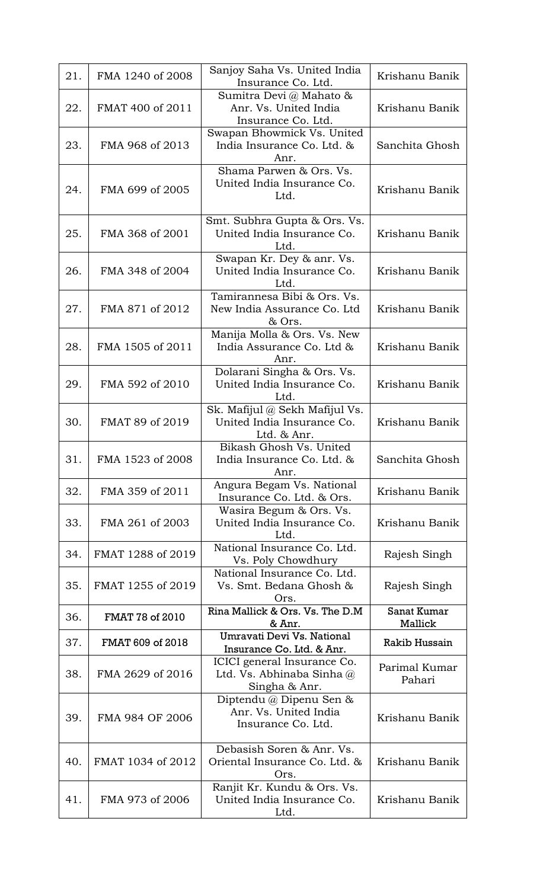| 21. | FMA 1240 of 2008  | Sanjoy Saha Vs. United India<br>Insurance Co. Ltd.                          | Krishanu Banik          |
|-----|-------------------|-----------------------------------------------------------------------------|-------------------------|
| 22. | FMAT 400 of 2011  | Sumitra Devi @ Mahato &<br>Anr. Vs. United India<br>Insurance Co. Ltd.      | Krishanu Banik          |
| 23. | FMA 968 of 2013   | Swapan Bhowmick Vs. United<br>India Insurance Co. Ltd. &<br>Anr.            | Sanchita Ghosh          |
| 24. | FMA 699 of 2005   | Shama Parwen & Ors. Vs.<br>United India Insurance Co.<br>Ltd.               | Krishanu Banik          |
| 25. | FMA 368 of 2001   | Smt. Subhra Gupta & Ors. Vs.<br>United India Insurance Co.<br>Ltd.          | Krishanu Banik          |
| 26. | FMA 348 of 2004   | Swapan Kr. Dey & anr. Vs.<br>United India Insurance Co.<br>Ltd.             | Krishanu Banik          |
| 27. | FMA 871 of 2012   | Tamirannesa Bibi & Ors. Vs.<br>New India Assurance Co. Ltd<br>& Ors.        | Krishanu Banik          |
| 28. | FMA 1505 of 2011  | Manija Molla & Ors. Vs. New<br>India Assurance Co. Ltd &<br>Anr.            | Krishanu Banik          |
| 29. | FMA 592 of 2010   | Dolarani Singha & Ors. Vs.<br>United India Insurance Co.<br>Ltd.            | Krishanu Banik          |
| 30. | FMAT 89 of 2019   | Sk. Mafijul @ Sekh Mafijul Vs.<br>United India Insurance Co.<br>Ltd. & Anr. | Krishanu Banik          |
| 31. | FMA 1523 of 2008  | Bikash Ghosh Vs. United<br>India Insurance Co. Ltd. &<br>Anr.               | Sanchita Ghosh          |
| 32. | FMA 359 of 2011   | Angura Begam Vs. National<br>Insurance Co. Ltd. & Ors.                      | Krishanu Banik          |
| 33. | FMA 261 of 2003   | Wasira Begum & Ors. Vs.<br>United India Insurance Co.<br>Ltd.               | Krishanu Banik          |
| 34. | FMAT 1288 of 2019 | National Insurance Co. Ltd.<br>Vs. Poly Chowdhury                           | Rajesh Singh            |
| 35. | FMAT 1255 of 2019 | National Insurance Co. Ltd.<br>Vs. Smt. Bedana Ghosh &<br>Ors.              | Rajesh Singh            |
| 36. | FMAT 78 of 2010   | Rina Mallick & Ors. Vs. The D.M<br>& Anr.                                   | Sanat Kumar<br>Mallick  |
| 37. | FMAT 609 of 2018  | Umravati Devi Vs. National<br>Insurance Co. Ltd. & Anr.                     | Rakib Hussain           |
| 38. | FMA 2629 of 2016  | ICICI general Insurance Co.<br>Ltd. Vs. Abhinaba Sinha @<br>Singha & Anr.   | Parimal Kumar<br>Pahari |
| 39. | FMA 984 OF 2006   | Diptendu @ Dipenu Sen &<br>Anr. Vs. United India<br>Insurance Co. Ltd.      | Krishanu Banik          |
| 40. | FMAT 1034 of 2012 | Debasish Soren & Anr. Vs.<br>Oriental Insurance Co. Ltd. &<br>Ors.          | Krishanu Banik          |
| 41. | FMA 973 of 2006   | Ranjit Kr. Kundu & Ors. Vs.<br>United India Insurance Co.<br>Ltd.           | Krishanu Banik          |